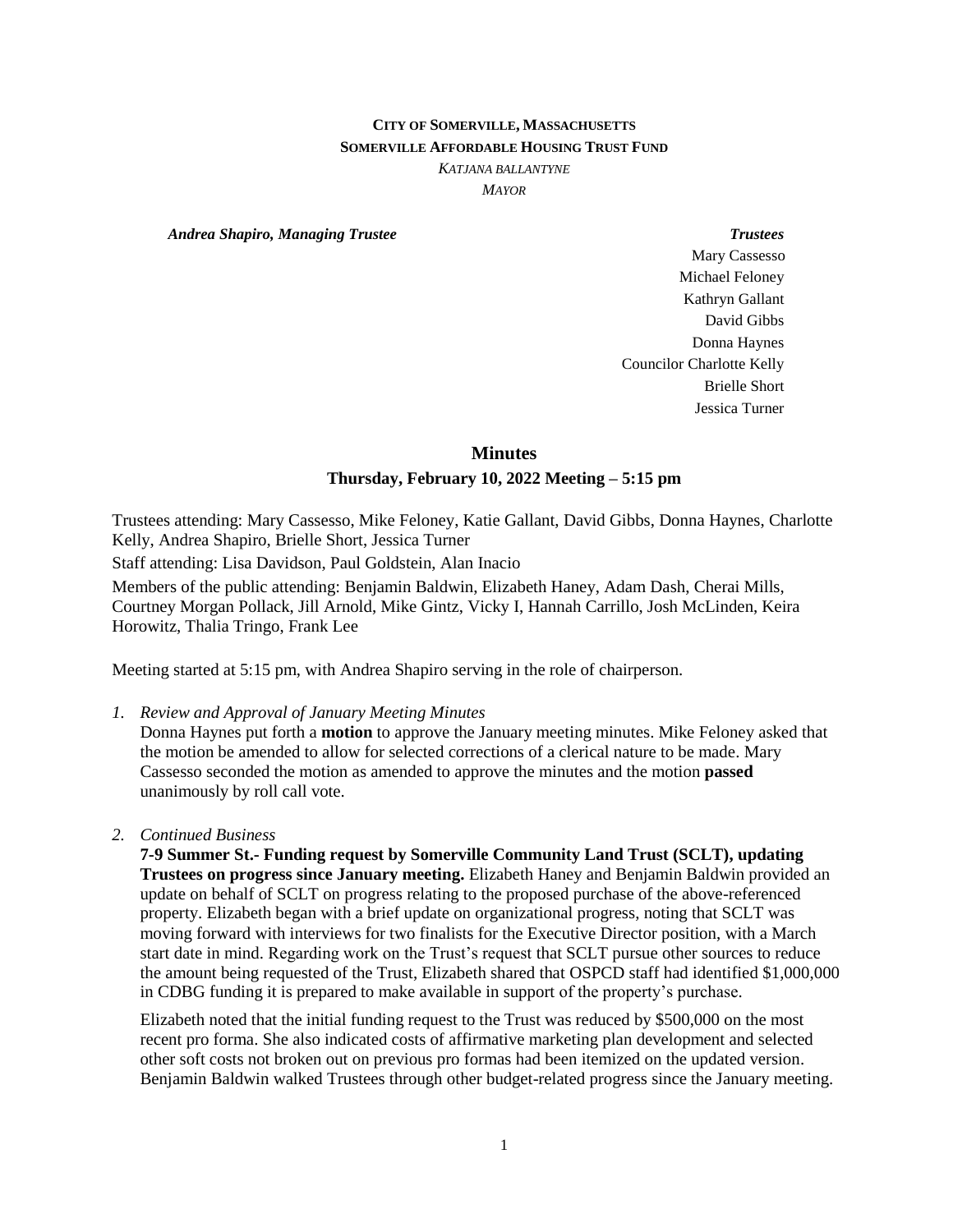# **CITY OF SOMERVILLE, MASSACHUSETTS SOMERVILLE AFFORDABLE HOUSING TRUST FUND**

*KATJANA BALLANTYNE*

*MAYOR*

*Andrea Shapiro, Managing Trustee Trustees*

Mary Cassesso Michael Feloney Kathryn Gallant David Gibbs Donna Haynes Councilor Charlotte Kelly Brielle Short Jessica Turner

**Minutes**

#### **Thursday, February 10, 2022 Meeting – 5:15 pm**

Trustees attending: Mary Cassesso, Mike Feloney, Katie Gallant, David Gibbs, Donna Haynes, Charlotte Kelly, Andrea Shapiro, Brielle Short, Jessica Turner

Staff attending: Lisa Davidson, Paul Goldstein, Alan Inacio

Members of the public attending: Benjamin Baldwin, Elizabeth Haney, Adam Dash, Cherai Mills, Courtney Morgan Pollack, Jill Arnold, Mike Gintz, Vicky I, Hannah Carrillo, Josh McLinden, Keira Horowitz, Thalia Tringo, Frank Lee

Meeting started at 5:15 pm, with Andrea Shapiro serving in the role of chairperson.

*1. Review and Approval of January Meeting Minutes*

Donna Haynes put forth a **motion** to approve the January meeting minutes. Mike Feloney asked that the motion be amended to allow for selected corrections of a clerical nature to be made. Mary Cassesso seconded the motion as amended to approve the minutes and the motion **passed**  unanimously by roll call vote.

*2. Continued Business*

**7-9 Summer St.- Funding request by Somerville Community Land Trust (SCLT), updating Trustees on progress since January meeting.** Elizabeth Haney and Benjamin Baldwin provided an update on behalf of SCLT on progress relating to the proposed purchase of the above-referenced property. Elizabeth began with a brief update on organizational progress, noting that SCLT was moving forward with interviews for two finalists for the Executive Director position, with a March start date in mind. Regarding work on the Trust's request that SCLT pursue other sources to reduce the amount being requested of the Trust, Elizabeth shared that OSPCD staff had identified \$1,000,000 in CDBG funding it is prepared to make available in support of the property's purchase.

Elizabeth noted that the initial funding request to the Trust was reduced by \$500,000 on the most recent pro forma. She also indicated costs of affirmative marketing plan development and selected other soft costs not broken out on previous pro formas had been itemized on the updated version. Benjamin Baldwin walked Trustees through other budget-related progress since the January meeting.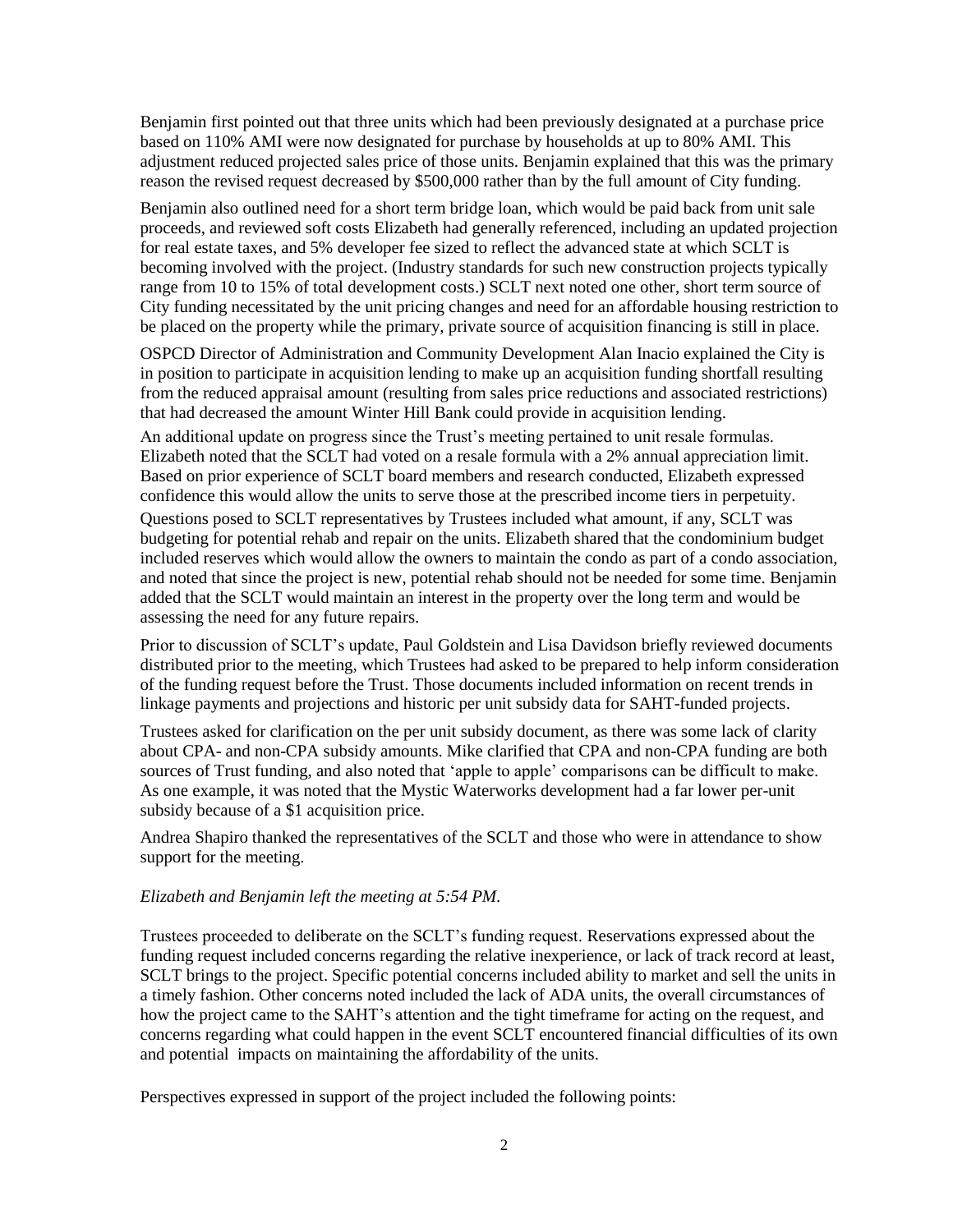Benjamin first pointed out that three units which had been previously designated at a purchase price based on 110% AMI were now designated for purchase by households at up to 80% AMI. This adjustment reduced projected sales price of those units. Benjamin explained that this was the primary reason the revised request decreased by \$500,000 rather than by the full amount of City funding.

Benjamin also outlined need for a short term bridge loan, which would be paid back from unit sale proceeds, and reviewed soft costs Elizabeth had generally referenced, including an updated projection for real estate taxes, and 5% developer fee sized to reflect the advanced state at which SCLT is becoming involved with the project. (Industry standards for such new construction projects typically range from 10 to 15% of total development costs.) SCLT next noted one other, short term source of City funding necessitated by the unit pricing changes and need for an affordable housing restriction to be placed on the property while the primary, private source of acquisition financing is still in place.

OSPCD Director of Administration and Community Development Alan Inacio explained the City is in position to participate in acquisition lending to make up an acquisition funding shortfall resulting from the reduced appraisal amount (resulting from sales price reductions and associated restrictions) that had decreased the amount Winter Hill Bank could provide in acquisition lending.

An additional update on progress since the Trust's meeting pertained to unit resale formulas. Elizabeth noted that the SCLT had voted on a resale formula with a 2% annual appreciation limit. Based on prior experience of SCLT board members and research conducted, Elizabeth expressed confidence this would allow the units to serve those at the prescribed income tiers in perpetuity. Questions posed to SCLT representatives by Trustees included what amount, if any, SCLT was budgeting for potential rehab and repair on the units. Elizabeth shared that the condominium budget included reserves which would allow the owners to maintain the condo as part of a condo association, and noted that since the project is new, potential rehab should not be needed for some time. Benjamin added that the SCLT would maintain an interest in the property over the long term and would be assessing the need for any future repairs.

Prior to discussion of SCLT's update, Paul Goldstein and Lisa Davidson briefly reviewed documents distributed prior to the meeting, which Trustees had asked to be prepared to help inform consideration of the funding request before the Trust. Those documents included information on recent trends in linkage payments and projections and historic per unit subsidy data for SAHT-funded projects.

Trustees asked for clarification on the per unit subsidy document, as there was some lack of clarity about CPA- and non-CPA subsidy amounts. Mike clarified that CPA and non-CPA funding are both sources of Trust funding, and also noted that 'apple to apple' comparisons can be difficult to make. As one example, it was noted that the Mystic Waterworks development had a far lower per-unit subsidy because of a \$1 acquisition price.

Andrea Shapiro thanked the representatives of the SCLT and those who were in attendance to show support for the meeting.

#### *Elizabeth and Benjamin left the meeting at 5:54 PM.*

Trustees proceeded to deliberate on the SCLT's funding request. Reservations expressed about the funding request included concerns regarding the relative inexperience, or lack of track record at least, SCLT brings to the project. Specific potential concerns included ability to market and sell the units in a timely fashion. Other concerns noted included the lack of ADA units, the overall circumstances of how the project came to the SAHT's attention and the tight timeframe for acting on the request, and concerns regarding what could happen in the event SCLT encountered financial difficulties of its own and potential impacts on maintaining the affordability of the units.

Perspectives expressed in support of the project included the following points: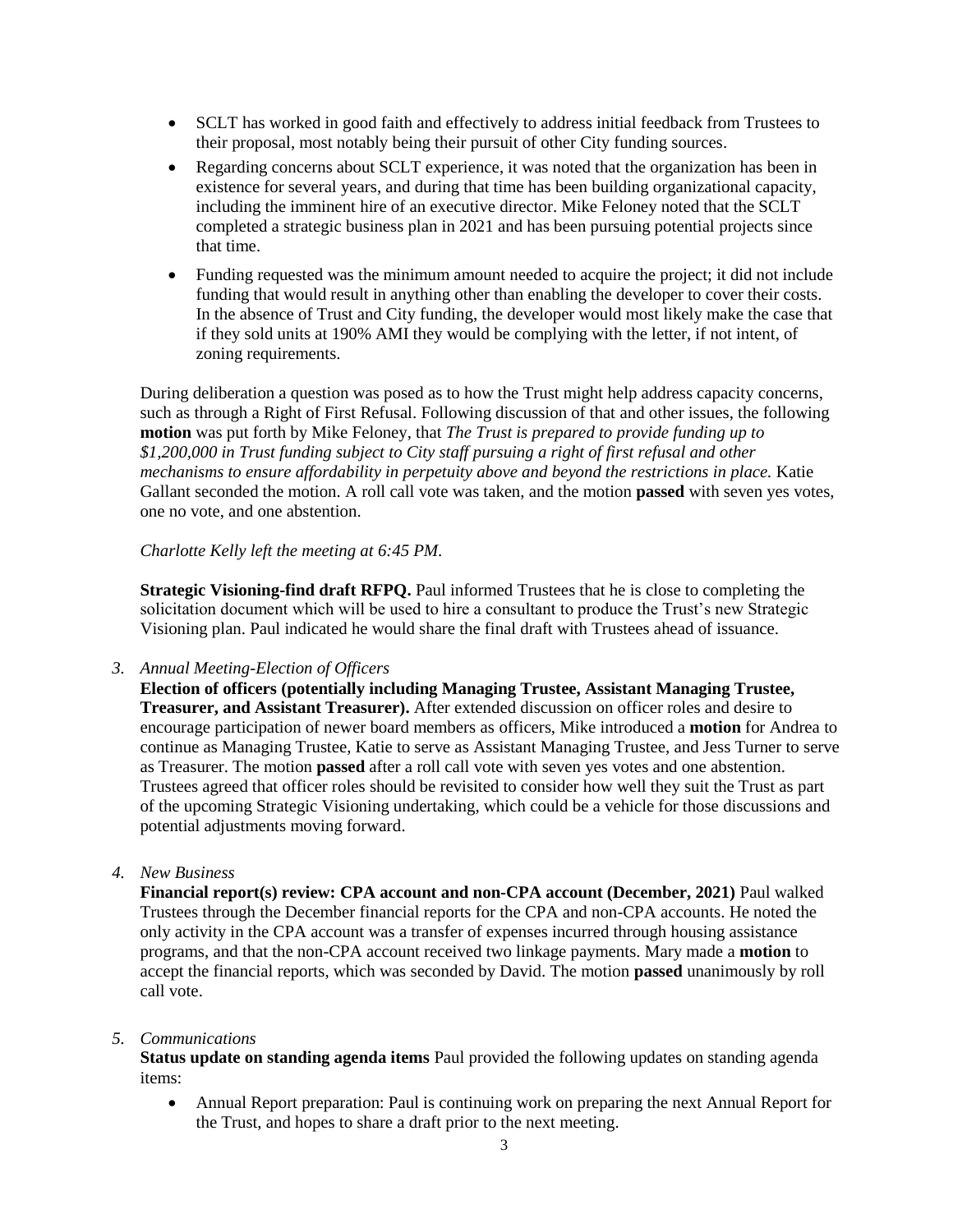- SCLT has worked in good faith and effectively to address initial feedback from Trustees to their proposal, most notably being their pursuit of other City funding sources.
- Regarding concerns about SCLT experience, it was noted that the organization has been in existence for several years, and during that time has been building organizational capacity, including the imminent hire of an executive director. Mike Feloney noted that the SCLT completed a strategic business plan in 2021 and has been pursuing potential projects since that time.
- Funding requested was the minimum amount needed to acquire the project; it did not include funding that would result in anything other than enabling the developer to cover their costs. In the absence of Trust and City funding, the developer would most likely make the case that if they sold units at 190% AMI they would be complying with the letter, if not intent, of zoning requirements.

During deliberation a question was posed as to how the Trust might help address capacity concerns, such as through a Right of First Refusal. Following discussion of that and other issues, the following **motion** was put forth by Mike Feloney, that *The Trust is prepared to provide funding up to \$1,200,000 in Trust funding subject to City staff pursuing a right of first refusal and other mechanisms to ensure affordability in perpetuity above and beyond the restrictions in place.* Katie Gallant seconded the motion. A roll call vote was taken, and the motion **passed** with seven yes votes, one no vote, and one abstention.

### *Charlotte Kelly left the meeting at 6:45 PM.*

**Strategic Visioning-find draft RFPQ.** Paul informed Trustees that he is close to completing the solicitation document which will be used to hire a consultant to produce the Trust's new Strategic Visioning plan. Paul indicated he would share the final draft with Trustees ahead of issuance.

*3. Annual Meeting-Election of Officers*

**Election of officers (potentially including Managing Trustee, Assistant Managing Trustee, Treasurer, and Assistant Treasurer).** After extended discussion on officer roles and desire to encourage participation of newer board members as officers, Mike introduced a **motion** for Andrea to continue as Managing Trustee, Katie to serve as Assistant Managing Trustee, and Jess Turner to serve as Treasurer. The motion **passed** after a roll call vote with seven yes votes and one abstention. Trustees agreed that officer roles should be revisited to consider how well they suit the Trust as part of the upcoming Strategic Visioning undertaking, which could be a vehicle for those discussions and potential adjustments moving forward.

# *4. New Business*

**Financial report(s) review: CPA account and non-CPA account (December, 2021)** Paul walked Trustees through the December financial reports for the CPA and non-CPA accounts. He noted the only activity in the CPA account was a transfer of expenses incurred through housing assistance programs, and that the non-CPA account received two linkage payments. Mary made a **motion** to accept the financial reports, which was seconded by David. The motion **passed** unanimously by roll call vote.

#### *5. Communications*

**Status update on standing agenda items** Paul provided the following updates on standing agenda items:

 Annual Report preparation: Paul is continuing work on preparing the next Annual Report for the Trust, and hopes to share a draft prior to the next meeting.